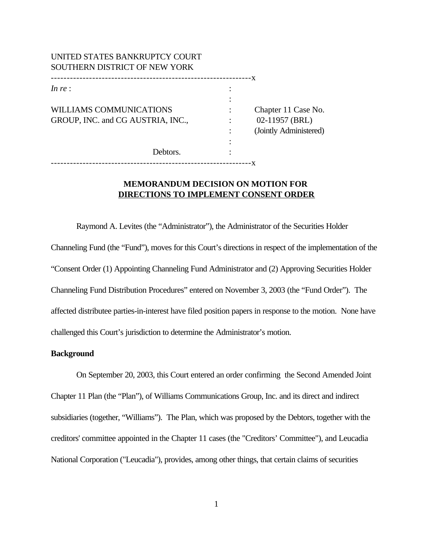| UNITED STATES BANKRUPTCY COURT<br>SOUTHERN DISTRICT OF NEW YORK |                                                                 |
|-----------------------------------------------------------------|-----------------------------------------------------------------|
| In re:                                                          |                                                                 |
| WILLIAMS COMMUNICATIONS<br>GROUP, INC. and CG AUSTRIA, INC.,    | Chapter 11 Case No.<br>02-11957 (BRL)<br>(Jointly Administered) |
| Debtors.<br>---------------                                     |                                                                 |

## **MEMORANDUM DECISION ON MOTION FOR DIRECTIONS TO IMPLEMENT CONSENT ORDER**

Raymond A. Levites (the "Administrator"), the Administrator of the Securities Holder Channeling Fund (the "Fund"), moves for this Court's directions in respect of the implementation of the "Consent Order (1) Appointing Channeling Fund Administrator and (2) Approving Securities Holder Channeling Fund Distribution Procedures" entered on November 3, 2003 (the "Fund Order"). The affected distributee parties-in-interest have filed position papers in response to the motion. None have challenged this Court's jurisdiction to determine the Administrator's motion.

## **Background**

On September 20, 2003, this Court entered an order confirming the Second Amended Joint Chapter 11 Plan (the "Plan"), of Williams Communications Group, Inc. and its direct and indirect subsidiaries (together, "Williams"). The Plan, which was proposed by the Debtors, together with the creditors' committee appointed in the Chapter 11 cases (the "Creditors' Committee"), and Leucadia National Corporation ("Leucadia"), provides, among other things, that certain claims of securities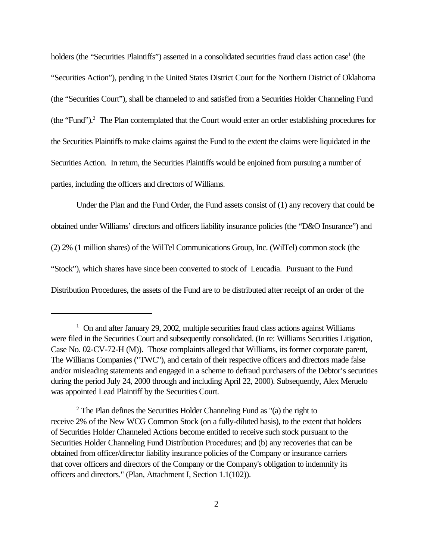holders (the "Securities Plaintiffs") asserted in a consolidated securities fraud class action case<sup>1</sup> (the "Securities Action"), pending in the United States District Court for the Northern District of Oklahoma (the "Securities Court"), shall be channeled to and satisfied from a Securities Holder Channeling Fund (the "Fund").<sup>2</sup> The Plan contemplated that the Court would enter an order establishing procedures for the Securities Plaintiffs to make claims against the Fund to the extent the claims were liquidated in the Securities Action. In return, the Securities Plaintiffs would be enjoined from pursuing a number of parties, including the officers and directors of Williams.

Under the Plan and the Fund Order, the Fund assets consist of (1) any recovery that could be obtained under Williams' directors and officers liability insurance policies (the "D&O Insurance") and (2) 2% (1 million shares) of the WilTel Communications Group, Inc. (WilTel) common stock (the "Stock"), which shares have since been converted to stock of Leucadia. Pursuant to the Fund Distribution Procedures, the assets of the Fund are to be distributed after receipt of an order of the

<sup>&</sup>lt;sup>1</sup> On and after January 29, 2002, multiple securities fraud class actions against Williams were filed in the Securities Court and subsequently consolidated. (In re: Williams Securities Litigation, Case No. 02-CV-72-H (M)). Those complaints alleged that Williams, its former corporate parent, The Williams Companies ("TWC"), and certain of their respective officers and directors made false and/or misleading statements and engaged in a scheme to defraud purchasers of the Debtor's securities during the period July 24, 2000 through and including April 22, 2000). Subsequently, Alex Meruelo was appointed Lead Plaintiff by the Securities Court.

 $2$  The Plan defines the Securities Holder Channeling Fund as "(a) the right to receive 2% of the New WCG Common Stock (on a fully-diluted basis), to the extent that holders of Securities Holder Channeled Actions become entitled to receive such stock pursuant to the Securities Holder Channeling Fund Distribution Procedures; and (b) any recoveries that can be obtained from officer/director liability insurance policies of the Company or insurance carriers that cover officers and directors of the Company or the Company's obligation to indemnify its officers and directors." (Plan, Attachment I, Section 1.1(102)).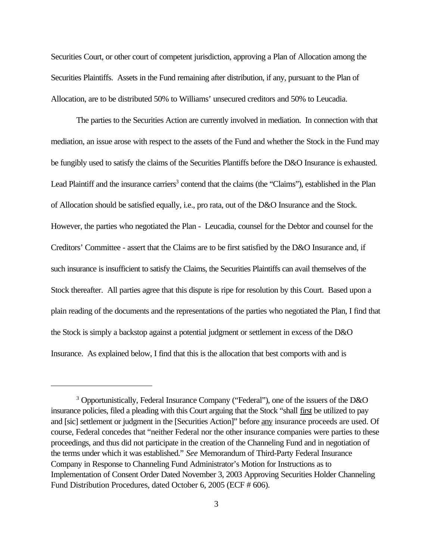Securities Court, or other court of competent jurisdiction, approving a Plan of Allocation among the Securities Plaintiffs. Assets in the Fund remaining after distribution, if any, pursuant to the Plan of Allocation, are to be distributed 50% to Williams' unsecured creditors and 50% to Leucadia.

The parties to the Securities Action are currently involved in mediation. In connection with that mediation, an issue arose with respect to the assets of the Fund and whether the Stock in the Fund may be fungibly used to satisfy the claims of the Securities Plantiffs before the D&O Insurance is exhausted. Lead Plaintiff and the insurance carriers<sup>3</sup> contend that the claims (the "Claims"), established in the Plan of Allocation should be satisfied equally, i.e., pro rata, out of the D&O Insurance and the Stock. However, the parties who negotiated the Plan - Leucadia, counsel for the Debtor and counsel for the Creditors' Committee - assert that the Claims are to be first satisfied by the D&O Insurance and, if such insurance is insufficient to satisfy the Claims, the Securities Plaintiffs can avail themselves of the Stock thereafter. All parties agree that this dispute is ripe for resolution by this Court. Based upon a plain reading of the documents and the representations of the parties who negotiated the Plan, I find that the Stock is simply a backstop against a potential judgment or settlement in excess of the D&O Insurance. As explained below, I find that this is the allocation that best comports with and is

<sup>&</sup>lt;sup>3</sup> Opportunistically, Federal Insurance Company ("Federal"), one of the issuers of the D&O insurance policies, filed a pleading with this Court arguing that the Stock "shall first be utilized to pay and [sic] settlement or judgment in the [Securities Action]" before any insurance proceeds are used. Of course, Federal concedes that "neither Federal nor the other insurance companies were parties to these proceedings, and thus did not participate in the creation of the Channeling Fund and in negotiation of the terms under which it was established." *See* Memorandum of Third-Party Federal Insurance Company in Response to Channeling Fund Administrator's Motion for Instructions as to Implementation of Consent Order Dated November 3, 2003 Approving Securities Holder Channeling Fund Distribution Procedures, dated October 6, 2005 (ECF # 606).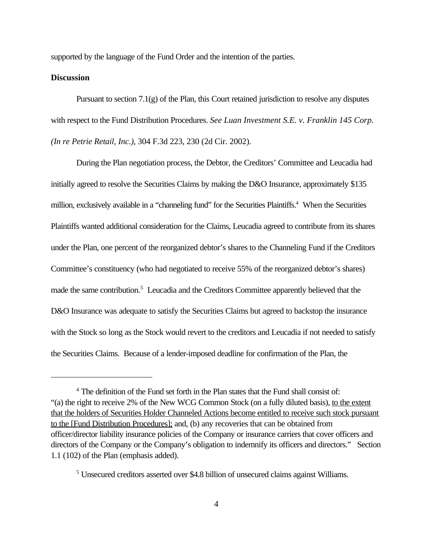supported by the language of the Fund Order and the intention of the parties.

## **Discussion**

Pursuant to section  $7.1(g)$  of the Plan, this Court retained jurisdiction to resolve any disputes with respect to the Fund Distribution Procedures. *See Luan Investment S.E. v. Franklin 145 Corp. (In re Petrie Retail, Inc.),* 304 F.3d 223, 230 (2d Cir. 2002).

During the Plan negotiation process, the Debtor, the Creditors' Committee and Leucadia had initially agreed to resolve the Securities Claims by making the D&O Insurance, approximately \$135 million, exclusively available in a "channeling fund" for the Securities Plaintiffs.<sup>4</sup> When the Securities Plaintiffs wanted additional consideration for the Claims, Leucadia agreed to contribute from its shares under the Plan, one percent of the reorganized debtor's shares to the Channeling Fund if the Creditors Committee's constituency (who had negotiated to receive 55% of the reorganized debtor's shares) made the same contribution.<sup>5</sup> Leucadia and the Creditors Committee apparently believed that the D&O Insurance was adequate to satisfy the Securities Claims but agreed to backstop the insurance with the Stock so long as the Stock would revert to the creditors and Leucadia if not needed to satisfy the Securities Claims. Because of a lender-imposed deadline for confirmation of the Plan, the

<sup>&</sup>lt;sup>4</sup> The definition of the Fund set forth in the Plan states that the Fund shall consist of: "(a) the right to receive 2% of the New WCG Common Stock (on a fully diluted basis), to the extent that the holders of Securities Holder Channeled Actions become entitled to receive such stock pursuant to the [Fund Distribution Procedures]; and, (b) any recoveries that can be obtained from officer/director liability insurance policies of the Company or insurance carriers that cover officers and directors of the Company or the Company's obligation to indemnify its officers and directors." Section 1.1 (102) of the Plan (emphasis added).

<sup>&</sup>lt;sup>5</sup> Unsecured creditors asserted over \$4.8 billion of unsecured claims against Williams.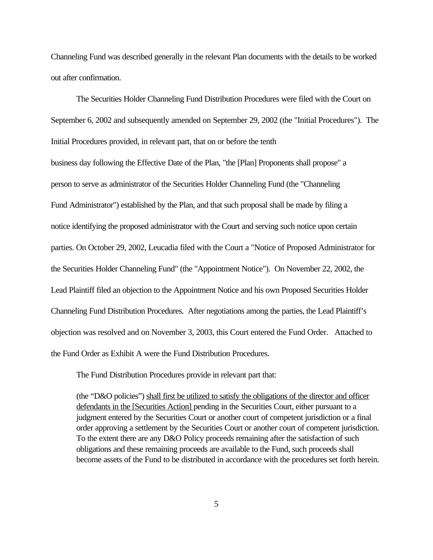Channeling Fund was described generally in the relevant Plan documents with the details to be worked out after confirmation.

The Securities Holder Channeling Fund Distribution Procedures were filed with the Court on September 6, 2002 and subsequently amended on September 29, 2002 (the "Initial Procedures"). The Initial Procedures provided, in relevant part, that on or before the tenth business day following the Effective Date of the Plan, "the [Plan] Proponents shall propose" a person to serve as administrator of the Securities Holder Channeling Fund (the "Channeling Fund Administrator") established by the Plan, and that such proposal shall be made by filing a notice identifying the proposed administrator with the Court and serving such notice upon certain parties. On October 29, 2002, Leucadia filed with the Court a "Notice of Proposed Administrator for the Securities Holder Channeling Fund" (the "Appointment Notice"). On November 22, 2002, the Lead Plaintiff filed an objection to the Appointment Notice and his own Proposed Securities Holder Channeling Fund Distribution Procedures. After negotiations among the parties, the Lead Plaintiff's objection was resolved and on November 3, 2003, this Court entered the Fund Order. Attached to the Fund Order as Exhibit A were the Fund Distribution Procedures.

The Fund Distribution Procedures provide in relevant part that:

(the "D&O policies") shall first be utilized to satisfy the obligations of the director and officer defendants in the [Securities Action] pending in the Securities Court, either pursuant to a judgment entered by the Securities Court or another court of competent jurisdiction or a final order approving a settlement by the Securities Court or another court of competent jurisdiction. To the extent there are any D&O Policy proceeds remaining after the satisfaction of such obligations and these remaining proceeds are available to the Fund, such proceeds shall become assets of the Fund to be distributed in accordance with the procedures set forth herein.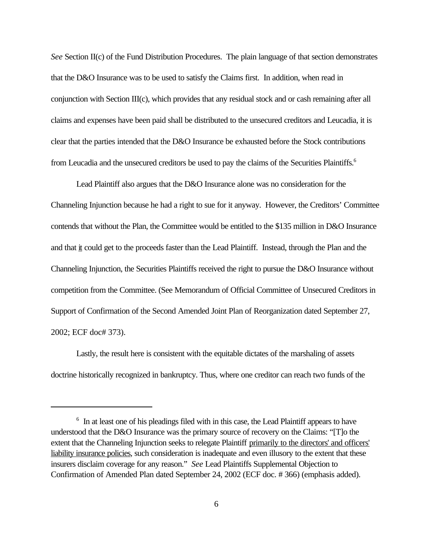*See* Section II(c) of the Fund Distribution Procedures. The plain language of that section demonstrates that the D&O Insurance was to be used to satisfy the Claims first. In addition, when read in conjunction with Section III(c), which provides that any residual stock and or cash remaining after all claims and expenses have been paid shall be distributed to the unsecured creditors and Leucadia, it is clear that the parties intended that the D&O Insurance be exhausted before the Stock contributions from Leucadia and the unsecured creditors be used to pay the claims of the Securities Plaintiffs.<sup>6</sup>

Lead Plaintiff also argues that the D&O Insurance alone was no consideration for the Channeling Injunction because he had a right to sue for it anyway. However, the Creditors' Committee contends that without the Plan, the Committee would be entitled to the \$135 million in D&O Insurance and that it could get to the proceeds faster than the Lead Plaintiff. Instead, through the Plan and the Channeling Injunction, the Securities Plaintiffs received the right to pursue the D&O Insurance without competition from the Committee. (See Memorandum of Official Committee of Unsecured Creditors in Support of Confirmation of the Second Amended Joint Plan of Reorganization dated September 27, 2002; ECF doc# 373).

Lastly, the result here is consistent with the equitable dictates of the marshaling of assets doctrine historically recognized in bankruptcy. Thus, where one creditor can reach two funds of the

<sup>&</sup>lt;sup>6</sup> In at least one of his pleadings filed with in this case, the Lead Plaintiff appears to have understood that the D&O Insurance was the primary source of recovery on the Claims: "[T]o the extent that the Channeling Injunction seeks to relegate Plaintiff primarily to the directors' and officers' liability insurance policies, such consideration is inadequate and even illusory to the extent that these insurers disclaim coverage for any reason." *See* Lead Plaintiffs Supplemental Objection to Confirmation of Amended Plan dated September 24, 2002 (ECF doc. # 366) (emphasis added).